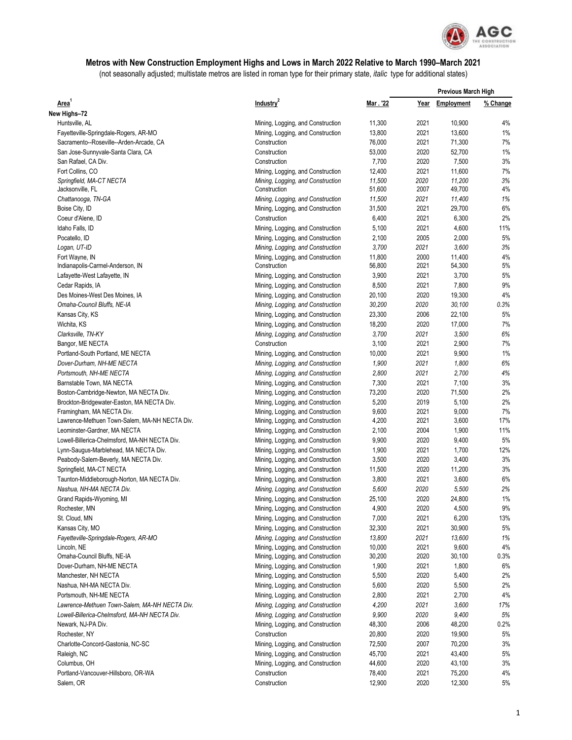

## **Metros with New Construction Employment Highs and Lows in March 2022 Relative to March 1990–March 2021**

(not seasonally adjusted; multistate metros are listed in roman type for their primary state, *italic* type for additional states)

|                                                                            |                                                                        |                | <b>Previous March High</b> |                |           |
|----------------------------------------------------------------------------|------------------------------------------------------------------------|----------------|----------------------------|----------------|-----------|
| Area <sup>1</sup>                                                          | Industry <sup>2</sup>                                                  | Mar. '22       | Year                       | Employment     | % Change  |
| New Highs-72                                                               |                                                                        |                |                            |                |           |
| Huntsville, AL                                                             | Mining, Logging, and Construction                                      | 11,300         | 2021                       | 10,900         | 4%        |
| Fayetteville-Springdale-Rogers, AR-MO                                      | Mining, Logging, and Construction                                      | 13,800         | 2021                       | 13,600         | 1%        |
| Sacramento--Roseville--Arden-Arcade, CA                                    | Construction                                                           | 76,000         | 2021                       | 71,300         | 7%        |
| San Jose-Sunnyvale-Santa Clara, CA                                         | Construction                                                           | 53,000         | 2020                       | 52,700         | 1%        |
| San Rafael, CA Div.                                                        | Construction                                                           | 7,700          | 2020                       | 7,500          | 3%        |
| Fort Collins, CO                                                           | Mining, Logging, and Construction                                      | 12,400         | 2021                       | 11,600         | 7%        |
| Springfield, MA-CT NECTA                                                   | Mining, Logging, and Construction                                      | 11,500         | 2020                       | 11,200         | 3%        |
| Jacksonville, FL                                                           | Construction                                                           | 51,600         | 2007                       | 49,700         | 4%        |
| Chattanooga, TN-GA                                                         | Mining, Logging, and Construction                                      | 11,500         | 2021                       | 11,400         | 1%        |
| Boise City, ID                                                             | Mining, Logging, and Construction                                      | 31,500         | 2021                       | 29,700         | 6%        |
| Coeur d'Alene, ID                                                          | Construction                                                           | 6,400          | 2021                       | 6,300          | 2%        |
| Idaho Falls, ID                                                            | Mining, Logging, and Construction                                      | 5,100          | 2021                       | 4,600          | 11%       |
| Pocatello, ID                                                              | Mining, Logging, and Construction                                      | 2,100          | 2005                       | 2,000          | 5%        |
| Logan, UT-ID                                                               | Mining, Logging, and Construction                                      | 3,700          | 2021                       | 3,600          | 3%        |
| Fort Wayne, IN                                                             | Mining, Logging, and Construction                                      | 11,800         | 2000                       | 11,400         | 4%        |
| Indianapolis-Carmel-Anderson, IN                                           | Construction                                                           | 56,800         | 2021                       | 54,300         | 5%        |
| Lafayette-West Lafayette, IN                                               | Mining, Logging, and Construction                                      | 3,900          | 2021                       | 3,700          | 5%        |
| Cedar Rapids, IA                                                           | Mining, Logging, and Construction                                      | 8,500          | 2021                       | 7,800          | 9%        |
| Des Moines-West Des Moines, IA                                             | Mining, Logging, and Construction                                      | 20,100         | 2020                       | 19,300         | 4%        |
| Omaha-Council Bluffs, NE-IA                                                | Mining, Logging, and Construction                                      | 30,200         | 2020                       | 30.100         | 0.3%      |
| Kansas City, KS                                                            | Mining, Logging, and Construction                                      | 23,300         | 2006                       | 22,100         | 5%        |
| Wichita, KS                                                                | Mining, Logging, and Construction                                      | 18,200         | 2020                       | 17,000         | 7%        |
| Clarksville, TN-KY                                                         | Mining, Logging, and Construction                                      | 3,700          | 2021                       | 3,500          | 6%        |
| Bangor, ME NECTA                                                           | Construction                                                           | 3,100          | 2021                       | 2,900          | 7%        |
| Portland-South Portland, ME NECTA                                          | Mining, Logging, and Construction                                      | 10,000         | 2021                       | 9,900          | 1%        |
| Dover-Durham, NH-ME NECTA                                                  | Mining, Logging, and Construction                                      | 1,900          | 2021                       | 1,800          | 6%        |
| Portsmouth, NH-ME NECTA                                                    | Mining, Logging, and Construction                                      | 2,800          | 2021                       | 2,700          | 4%        |
| Barnstable Town, MA NECTA                                                  | Mining, Logging, and Construction                                      | 7,300          | 2021                       | 7,100          | 3%        |
| Boston-Cambridge-Newton, MA NECTA Div.                                     | Mining, Logging, and Construction                                      | 73,200         | 2020                       | 71,500         | 2%        |
| Brockton-Bridgewater-Easton, MA NECTA Div.                                 | Mining, Logging, and Construction                                      | 5,200          | 2019                       | 5,100          | 2%        |
| Framingham, MA NECTA Div.<br>Lawrence-Methuen Town-Salem, MA-NH NECTA Div. | Mining, Logging, and Construction                                      | 9,600<br>4,200 | 2021<br>2021               | 9,000<br>3,600 | 7%<br>17% |
| Leominster-Gardner, MA NECTA                                               | Mining, Logging, and Construction                                      | 2,100          | 2004                       | 1,900          | 11%       |
| Lowell-Billerica-Chelmsford, MA-NH NECTA Div.                              | Mining, Logging, and Construction<br>Mining, Logging, and Construction | 9,900          | 2020                       | 9,400          | 5%        |
| Lynn-Saugus-Marblehead, MA NECTA Div.                                      | Mining, Logging, and Construction                                      | 1,900          | 2021                       | 1,700          | 12%       |
| Peabody-Salem-Beverly, MA NECTA Div.                                       | Mining, Logging, and Construction                                      | 3,500          | 2020                       | 3,400          | 3%        |
| Springfield, MA-CT NECTA                                                   | Mining, Logging, and Construction                                      | 11,500         | 2020                       | 11,200         | 3%        |
| Taunton-Middleborough-Norton, MA NECTA Div.                                | Mining, Logging, and Construction                                      | 3,800          | 2021                       | 3,600          | 6%        |
| Nashua, NH-MA NECTA Div.                                                   | Mining, Logging, and Construction                                      | 5,600          | 2020                       | 5,500          | 2%        |
| Grand Rapids-Wyoming, MI                                                   | Mining, Logging, and Construction                                      | 25,100         | 2020                       | 24,800         | 1%        |
| Rochester, MN                                                              | Mining, Logging, and Construction                                      | 4,900          | 2020                       | 4,500          | 9%        |
| St. Cloud, MN                                                              | Mining, Logging, and Construction                                      | 7,000          | 2021                       | 6,200          | 13%       |
| Kansas City, MO                                                            | Mining, Logging, and Construction                                      | 32,300         | 2021                       | 30,900         | 5%        |
| Fayetteville-Springdale-Rogers, AR-MO                                      | Mining, Logging, and Construction                                      | 13,800         | 2021                       | 13,600         | 1%        |
| Lincoln, NE                                                                | Mining, Logging, and Construction                                      | 10,000         | 2021                       | 9,600          | 4%        |
| Omaha-Council Bluffs, NE-IA                                                | Mining, Logging, and Construction                                      | 30,200         | 2020                       | 30,100         | 0.3%      |
| Dover-Durham, NH-ME NECTA                                                  | Mining, Logging, and Construction                                      | 1,900          | 2021                       | 1,800          | 6%        |
| Manchester, NH NECTA                                                       | Mining, Logging, and Construction                                      | 5,500          | 2020                       | 5,400          | 2%        |
| Nashua, NH-MA NECTA Div.                                                   | Mining, Logging, and Construction                                      | 5,600          | 2020                       | 5,500          | 2%        |
| Portsmouth, NH-ME NECTA                                                    | Mining, Logging, and Construction                                      | 2,800          | 2021                       | 2,700          | 4%        |
| Lawrence-Methuen Town-Salem, MA-NH NECTA Div.                              | Mining, Logging, and Construction                                      | 4,200          | 2021                       | 3,600          | 17%       |
| Lowell-Billerica-Chelmsford, MA-NH NECTA Div.                              | Mining, Logging, and Construction                                      | 9,900          | 2020                       | 9,400          | 5%        |
| Newark, NJ-PA Div.                                                         | Mining, Logging, and Construction                                      | 48,300         | 2006                       | 48,200         | 0.2%      |
| Rochester, NY                                                              | Construction                                                           | 20,800         | 2020                       | 19,900         | 5%        |
| Charlotte-Concord-Gastonia, NC-SC                                          | Mining, Logging, and Construction                                      | 72,500         | 2007                       | 70,200         | 3%        |
| Raleigh, NC                                                                | Mining, Logging, and Construction                                      | 45,700         | 2021                       | 43,400         | 5%        |
| Columbus, OH                                                               | Mining, Logging, and Construction                                      | 44,600         | 2020                       | 43,100         | 3%        |
| Portland-Vancouver-Hillsboro, OR-WA                                        | Construction                                                           | 78,400         | 2021                       | 75,200         | 4%        |
| Salem, OR                                                                  | Construction                                                           | 12,900         | 2020                       | 12,300         | 5%        |